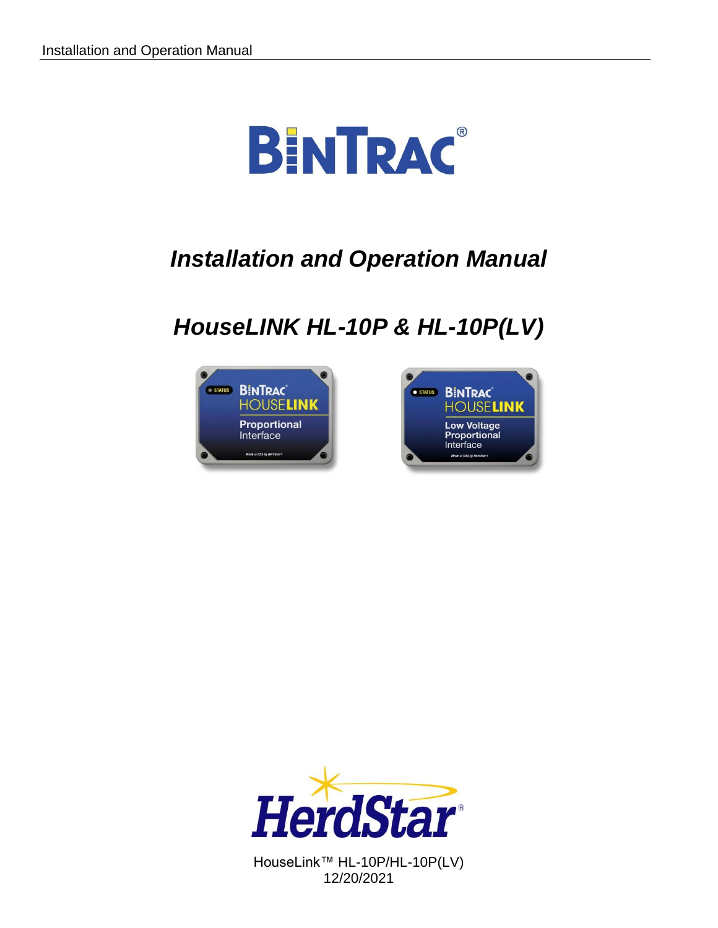

# *Installation and Operation Manual*

# *HouseLINK HL-10P & HL-10P(LV)*







HouseLink™ HL-10P/HL-10P(LV) 12/20/2021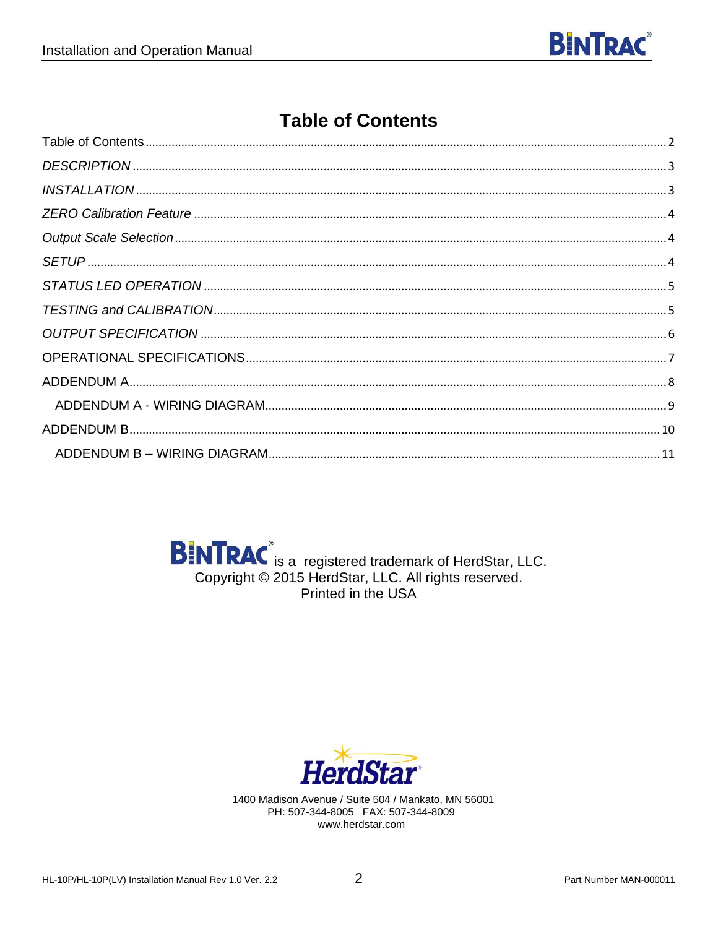

# **Table of Contents**

<span id="page-1-0"></span>

| $INSTALLATION  \label{thm:nonlinear} {\tt INSTALLATION  \label{thm:nonlinear} {\tt \dots 3}}$ |  |
|-----------------------------------------------------------------------------------------------|--|
|                                                                                               |  |
|                                                                                               |  |
|                                                                                               |  |
|                                                                                               |  |
|                                                                                               |  |
|                                                                                               |  |
|                                                                                               |  |
|                                                                                               |  |
|                                                                                               |  |
|                                                                                               |  |
|                                                                                               |  |

**BINTRAC** is a registered trademark of HerdStar, LLC. Copyright © 2015 HerdStar, LLC. All rights reserved. Printed in the USA



1400 Madison Avenue / Suite 504 / Mankato, MN 56001 PH: 507-344-8005 FAX: 507-344-8009 www.herdstar.com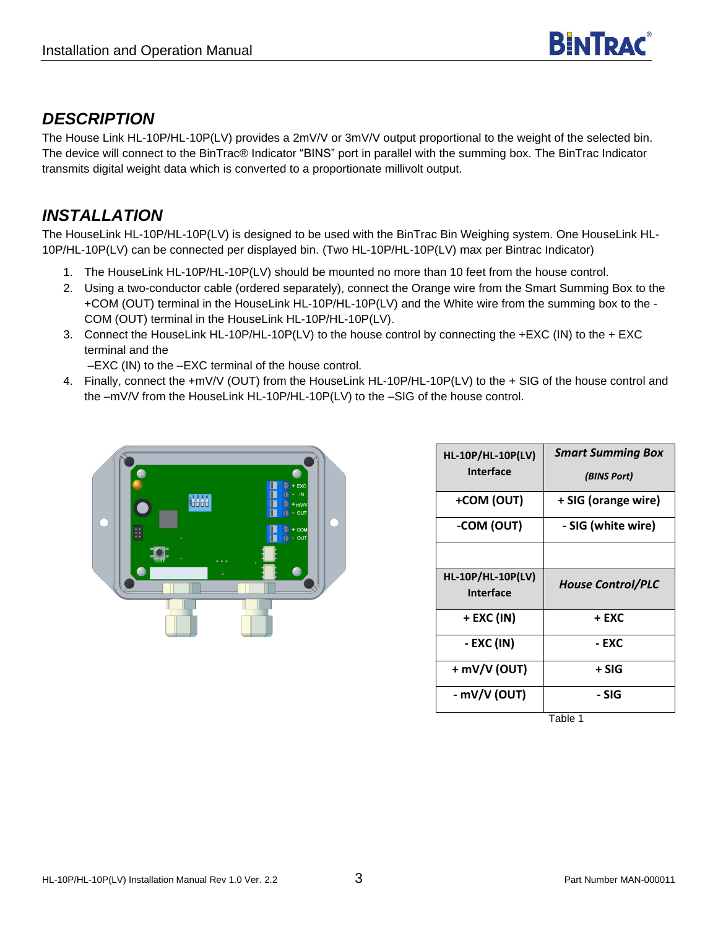### <span id="page-2-0"></span>*DESCRIPTION*

The House Link HL-10P/HL-10P(LV) provides a 2mV/V or 3mV/V output proportional to the weight of the selected bin. The device will connect to the BinTrac® Indicator "BINS" port in parallel with the summing box. The BinTrac Indicator transmits digital weight data which is converted to a proportionate millivolt output.

## <span id="page-2-1"></span>*INSTALLATION*

The HouseLink HL-10P/HL-10P(LV) is designed to be used with the BinTrac Bin Weighing system. One HouseLink HL-10P/HL-10P(LV) can be connected per displayed bin. (Two HL-10P/HL-10P(LV) max per Bintrac Indicator)

- 1. The HouseLink HL-10P/HL-10P(LV) should be mounted no more than 10 feet from the house control.
- 2. Using a two-conductor cable (ordered separately), connect the Orange wire from the Smart Summing Box to the +COM (OUT) terminal in the HouseLink HL-10P/HL-10P(LV) and the White wire from the summing box to the - COM (OUT) terminal in the HouseLink HL-10P/HL-10P(LV).
- 3. Connect the HouseLink HL-10P/HL-10P(LV) to the house control by connecting the +EXC (IN) to the + EXC terminal and the

–EXC (IN) to the –EXC terminal of the house control.

4. Finally, connect the +mV/V (OUT) from the HouseLink HL-10P/HL-10P(LV) to the + SIG of the house control and the –mV/V from the HouseLink HL-10P/HL-10P(LV) to the –SIG of the house control.



| <b>HL-10P/HL-10P(LV)</b><br><b>Interface</b> | <b>Smart Summing Box</b><br>(BINS Port) |  |
|----------------------------------------------|-----------------------------------------|--|
| +COM (OUT)                                   | + SIG (orange wire)                     |  |
| -COM (OUT)                                   | - SIG (white wire)                      |  |
|                                              |                                         |  |
| <b>HL-10P/HL-10P(LV)</b><br><b>Interface</b> | <b>House Control/PLC</b>                |  |
| + EXC (IN)                                   | + EXC                                   |  |
| - EXC (IN)                                   | - EXC                                   |  |
| $+$ mV/V (OUT)                               | + SIG                                   |  |
| - mV/V (OUT)                                 | - SIG                                   |  |

Table 1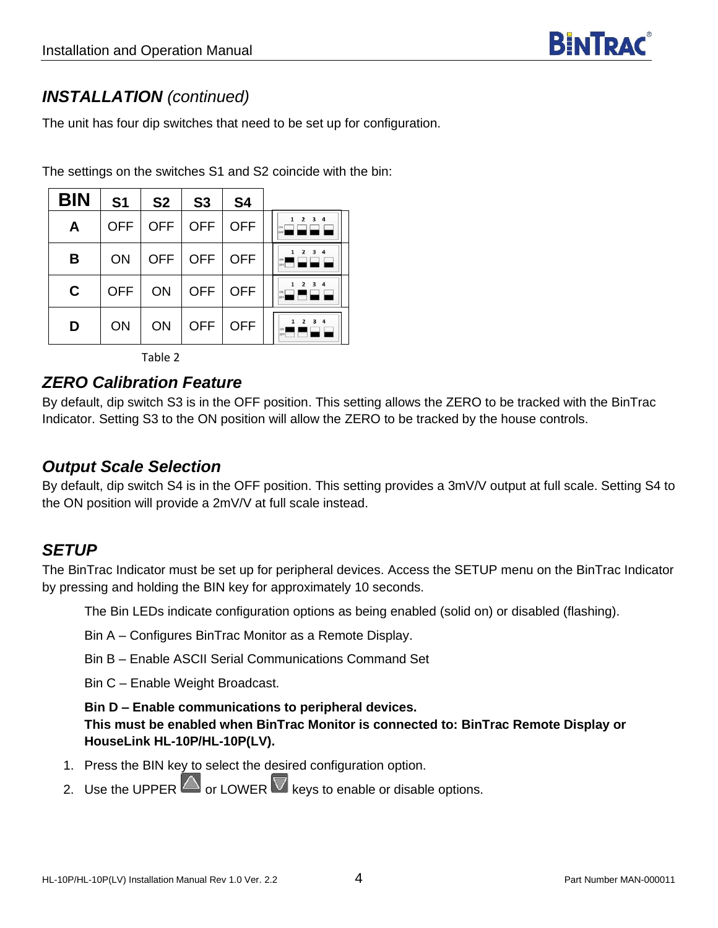## *INSTALLATION (continued)*

The unit has four dip switches that need to be set up for configuration.

The settings on the switches S1 and S2 coincide with the bin:

| <b>BIN</b> | S <sub>1</sub> | S <sub>2</sub> | S <sub>3</sub>               | <b>S4</b>  |                                           |
|------------|----------------|----------------|------------------------------|------------|-------------------------------------------|
| A          | <b>OFF</b>     | <b>OFF</b>     | $\overline{\phantom{a}}$ OFF | <b>OFF</b> | 3 <sub>4</sub><br>ON                      |
| B          | ON             | <b>OFF</b>     | <b>OFF</b>                   | OFF        | $\overline{\mathbf{z}}$<br>$\overline{4}$ |
| C          | <b>OFF</b>     | ON             | OFF OFF                      |            | 3<br>$\overline{a}$<br>ON                 |
| D          | ON             | ON             | <b>OFF</b>                   | <b>OFF</b> | 3 <sub>4</sub>                            |

Table 2

#### <span id="page-3-0"></span>*ZERO Calibration Feature*

By default, dip switch S3 is in the OFF position. This setting allows the ZERO to be tracked with the BinTrac Indicator. Setting S3 to the ON position will allow the ZERO to be tracked by the house controls.

#### <span id="page-3-1"></span>*Output Scale Selection*

By default, dip switch S4 is in the OFF position. This setting provides a 3mV/V output at full scale. Setting S4 to the ON position will provide a 2mV/V at full scale instead.

#### <span id="page-3-2"></span>*SETUP*

The BinTrac Indicator must be set up for peripheral devices. Access the SETUP menu on the BinTrac Indicator by pressing and holding the BIN key for approximately 10 seconds.

The Bin LEDs indicate configuration options as being enabled (solid on) or disabled (flashing).

- Bin A Configures BinTrac Monitor as a Remote Display.
- Bin B Enable ASCII Serial Communications Command Set

Bin C – Enable Weight Broadcast.

#### **Bin D – Enable communications to peripheral devices.**

**This must be enabled when BinTrac Monitor is connected to: BinTrac Remote Display or HouseLink HL-10P/HL-10P(LV).**

- 1. Press the BIN key to select the desired configuration option.
- 2. Use the UPPER  $\Box$  or LOWER  $\nabla$  keys to enable or disable options.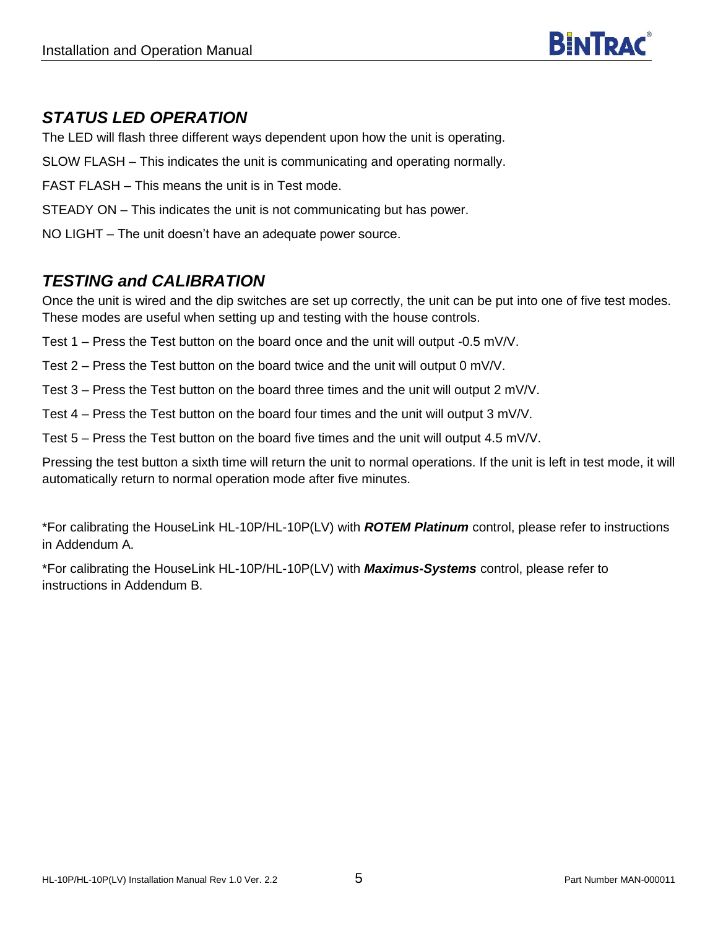

#### <span id="page-4-0"></span>*STATUS LED OPERATION*

The LED will flash three different ways dependent upon how the unit is operating.

SLOW FLASH – This indicates the unit is communicating and operating normally.

- FAST FLASH This means the unit is in Test mode.
- STEADY ON This indicates the unit is not communicating but has power.

NO LIGHT – The unit doesn't have an adequate power source.

#### <span id="page-4-1"></span>*TESTING and CALIBRATION*

Once the unit is wired and the dip switches are set up correctly, the unit can be put into one of five test modes. These modes are useful when setting up and testing with the house controls.

Test 1 – Press the Test button on the board once and the unit will output -0.5 mV/V.

Test 2 – Press the Test button on the board twice and the unit will output 0 mV/V.

Test 3 – Press the Test button on the board three times and the unit will output 2 mV/V.

Test 4 – Press the Test button on the board four times and the unit will output 3 mV/V.

Test 5 – Press the Test button on the board five times and the unit will output 4.5 mV/V.

Pressing the test button a sixth time will return the unit to normal operations. If the unit is left in test mode, it will automatically return to normal operation mode after five minutes.

\*For calibrating the HouseLink HL-10P/HL-10P(LV) with *ROTEM Platinum* control, please refer to instructions in Addendum A.

\*For calibrating the HouseLink HL-10P/HL-10P(LV) with *Maximus-Systems* control, please refer to instructions in Addendum B.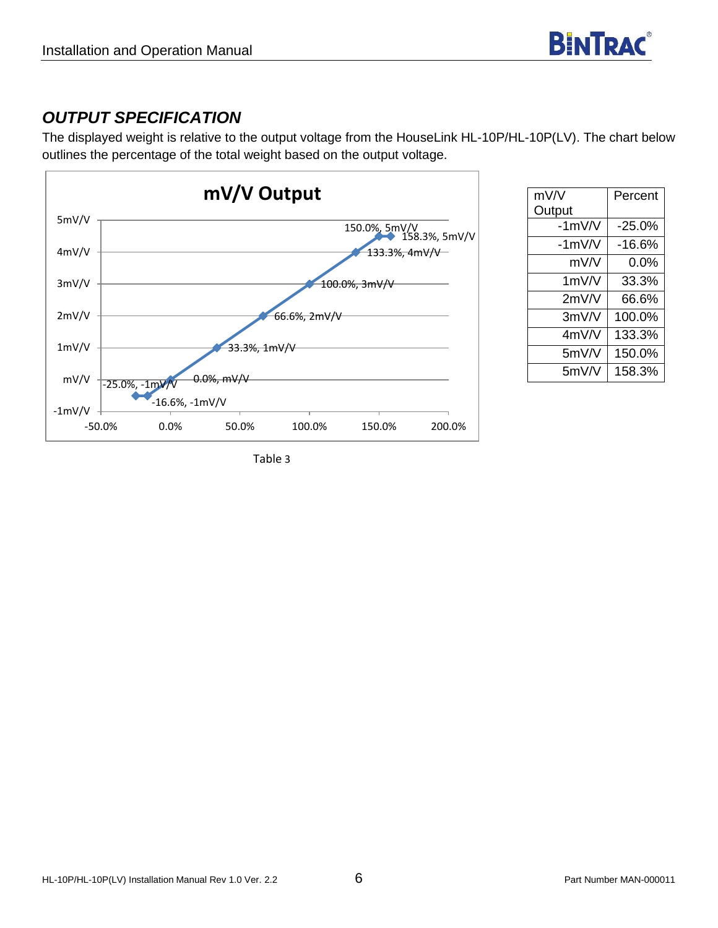## <span id="page-5-0"></span>*OUTPUT SPECIFICATION*

The displayed weight is relative to the output voltage from the HouseLink HL-10P/HL-10P(LV). The chart below outlines the percentage of the total weight based on the output voltage.



| mV/V     | Percent  |
|----------|----------|
|          |          |
| Output   |          |
| $-1mV/V$ | $-25.0%$ |
| $-1mV/V$ | -16.6%   |
| mV/V     | $0.0\%$  |
| $1m$ V/V | 33.3%    |
| 2mV/V    | 66.6%    |
| 3mV/V    | 100.0%   |
| 4mV/V    | 133.3%   |
| 5mV/V    | 150.0%   |
| 5mV/V    | 158.3%   |

Table 3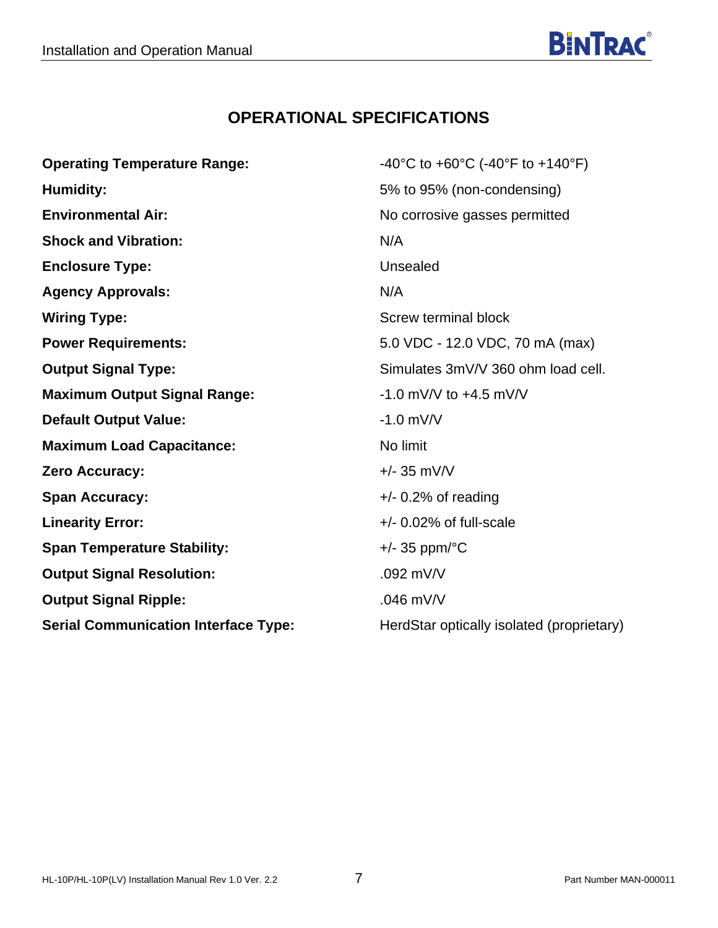## **OPERATIONAL SPECIFICATIONS**

<span id="page-6-0"></span>

| <b>Operating Temperature Range:</b>         | -40°C to +60°C (-40°F to +140°F)          |
|---------------------------------------------|-------------------------------------------|
| <b>Humidity:</b>                            | 5% to 95% (non-condensing)                |
| <b>Environmental Air:</b>                   | No corrosive gasses permitted             |
| <b>Shock and Vibration:</b>                 | N/A                                       |
| <b>Enclosure Type:</b>                      | Unsealed                                  |
| <b>Agency Approvals:</b>                    | N/A                                       |
| <b>Wiring Type:</b>                         | Screw terminal block                      |
| <b>Power Requirements:</b>                  | 5.0 VDC - 12.0 VDC, 70 mA (max)           |
| <b>Output Signal Type:</b>                  | Simulates 3mV/V 360 ohm load cell.        |
| <b>Maximum Output Signal Range:</b>         | $-1.0$ mV/V to $+4.5$ mV/V                |
| <b>Default Output Value:</b>                | $-1.0$ mV/V                               |
| <b>Maximum Load Capacitance:</b>            | No limit                                  |
| Zero Accuracy:                              | $+/- 35$ mV/V                             |
| <b>Span Accuracy:</b>                       | $+/- 0.2\%$ of reading                    |
| <b>Linearity Error:</b>                     | $+/-$ 0.02% of full-scale                 |
| <b>Span Temperature Stability:</b>          | $+/-$ 35 ppm/ $\degree$ C                 |
| <b>Output Signal Resolution:</b>            | $.092$ mV/V                               |
| <b>Output Signal Ripple:</b>                | $.046$ mV/V                               |
| <b>Serial Communication Interface Type:</b> | HerdStar optically isolated (proprietary) |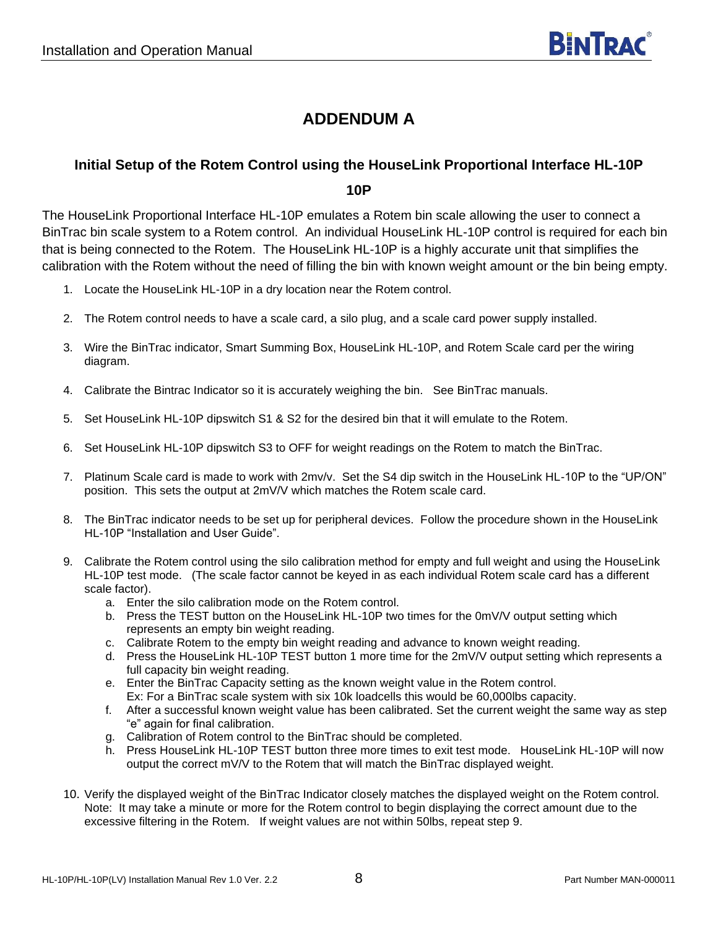## **ADDENDUM A**

#### <span id="page-7-0"></span>**Initial Setup of the Rotem Control using the HouseLink Proportional Interface HL-10P**

**10P**

The HouseLink Proportional Interface HL-10P emulates a Rotem bin scale allowing the user to connect a BinTrac bin scale system to a Rotem control. An individual HouseLink HL-10P control is required for each bin that is being connected to the Rotem. The HouseLink HL-10P is a highly accurate unit that simplifies the calibration with the Rotem without the need of filling the bin with known weight amount or the bin being empty.

- 1. Locate the HouseLink HL-10P in a dry location near the Rotem control.
- 2. The Rotem control needs to have a scale card, a silo plug, and a scale card power supply installed.
- 3. Wire the BinTrac indicator, Smart Summing Box, HouseLink HL-10P, and Rotem Scale card per the wiring diagram.
- 4. Calibrate the Bintrac Indicator so it is accurately weighing the bin. See BinTrac manuals.
- 5. Set HouseLink HL-10P dipswitch S1 & S2 for the desired bin that it will emulate to the Rotem.
- 6. Set HouseLink HL-10P dipswitch S3 to OFF for weight readings on the Rotem to match the BinTrac.
- 7. Platinum Scale card is made to work with 2mv/v. Set the S4 dip switch in the HouseLink HL-10P to the "UP/ON" position. This sets the output at 2mV/V which matches the Rotem scale card.
- 8. The BinTrac indicator needs to be set up for peripheral devices. Follow the procedure shown in the HouseLink HL-10P "Installation and User Guide".
- 9. Calibrate the Rotem control using the silo calibration method for empty and full weight and using the HouseLink HL-10P test mode. (The scale factor cannot be keyed in as each individual Rotem scale card has a different scale factor).
	- a. Enter the silo calibration mode on the Rotem control.
	- b. Press the TEST button on the HouseLink HL-10P two times for the 0mV/V output setting which represents an empty bin weight reading.
	- c. Calibrate Rotem to the empty bin weight reading and advance to known weight reading.
	- d. Press the HouseLink HL-10P TEST button 1 more time for the 2mV/V output setting which represents a full capacity bin weight reading.
	- e. Enter the BinTrac Capacity setting as the known weight value in the Rotem control. Ex: For a BinTrac scale system with six 10k loadcells this would be 60,000lbs capacity.
	- f. After a successful known weight value has been calibrated. Set the current weight the same way as step "e" again for final calibration.
	- g. Calibration of Rotem control to the BinTrac should be completed.
	- h. Press HouseLink HL-10P TEST button three more times to exit test mode. HouseLink HL-10P will now output the correct mV/V to the Rotem that will match the BinTrac displayed weight.
- 10. Verify the displayed weight of the BinTrac Indicator closely matches the displayed weight on the Rotem control. Note: It may take a minute or more for the Rotem control to begin displaying the correct amount due to the excessive filtering in the Rotem. If weight values are not within 50lbs, repeat step 9.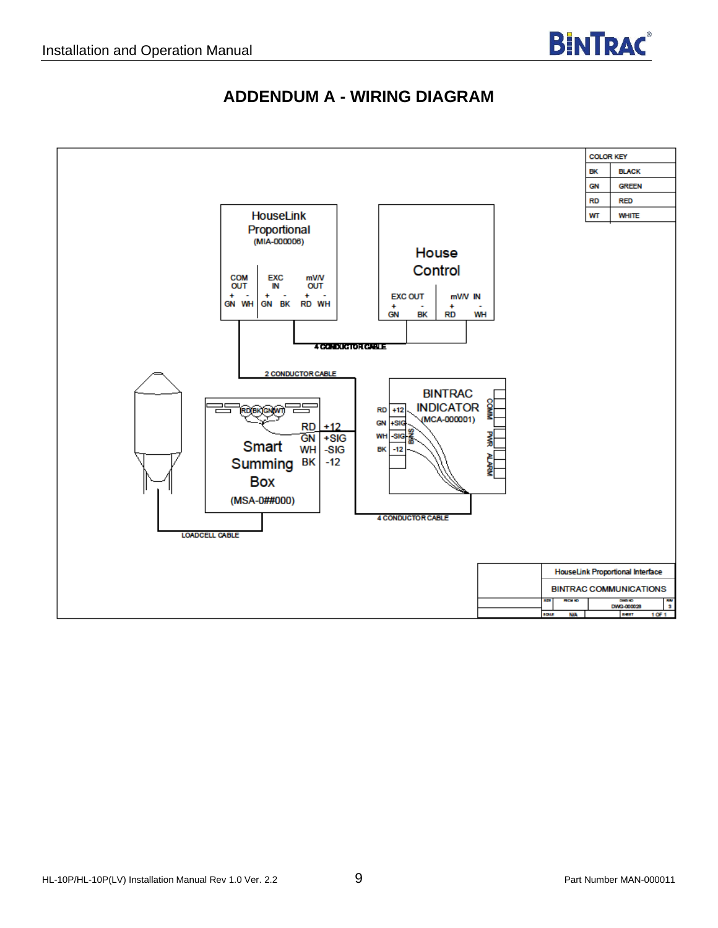

### **ADDENDUM A - WIRING DIAGRAM**

<span id="page-8-0"></span>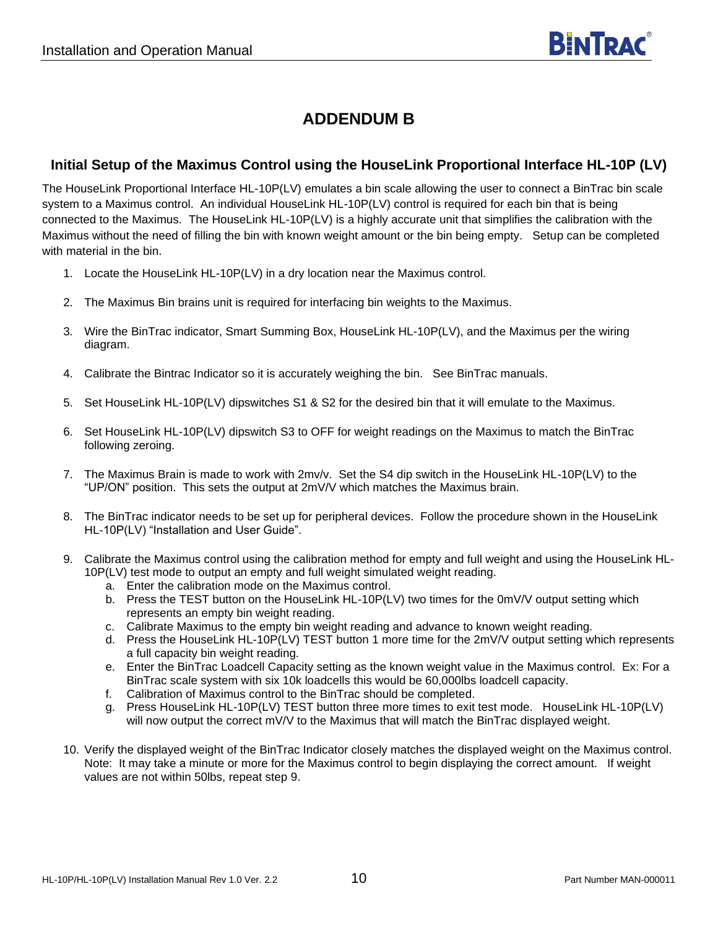## **ADDENDUM B**

#### <span id="page-9-0"></span>**Initial Setup of the Maximus Control using the HouseLink Proportional Interface HL-10P (LV)**

The HouseLink Proportional Interface HL-10P(LV) emulates a bin scale allowing the user to connect a BinTrac bin scale system to a Maximus control. An individual HouseLink HL-10P(LV) control is required for each bin that is being connected to the Maximus. The HouseLink HL-10P(LV) is a highly accurate unit that simplifies the calibration with the Maximus without the need of filling the bin with known weight amount or the bin being empty. Setup can be completed with material in the bin.

- 1. Locate the HouseLink HL-10P(LV) in a dry location near the Maximus control.
- 2. The Maximus Bin brains unit is required for interfacing bin weights to the Maximus.
- 3. Wire the BinTrac indicator, Smart Summing Box, HouseLink HL-10P(LV), and the Maximus per the wiring diagram.
- 4. Calibrate the Bintrac Indicator so it is accurately weighing the bin. See BinTrac manuals.
- 5. Set HouseLink HL-10P(LV) dipswitches S1 & S2 for the desired bin that it will emulate to the Maximus.
- 6. Set HouseLink HL-10P(LV) dipswitch S3 to OFF for weight readings on the Maximus to match the BinTrac following zeroing.
- 7. The Maximus Brain is made to work with 2mv/v. Set the S4 dip switch in the HouseLink HL-10P(LV) to the "UP/ON" position. This sets the output at 2mV/V which matches the Maximus brain.
- 8. The BinTrac indicator needs to be set up for peripheral devices. Follow the procedure shown in the HouseLink HL-10P(LV) "Installation and User Guide".
- 9. Calibrate the Maximus control using the calibration method for empty and full weight and using the HouseLink HL-10P(LV) test mode to output an empty and full weight simulated weight reading.
	- a. Enter the calibration mode on the Maximus control.
	- b. Press the TEST button on the HouseLink HL-10P(LV) two times for the 0mV/V output setting which represents an empty bin weight reading.
	- c. Calibrate Maximus to the empty bin weight reading and advance to known weight reading.
	- d. Press the HouseLink HL-10P(LV) TEST button 1 more time for the 2mV/V output setting which represents a full capacity bin weight reading.
	- e. Enter the BinTrac Loadcell Capacity setting as the known weight value in the Maximus control. Ex: For a BinTrac scale system with six 10k loadcells this would be 60,000lbs loadcell capacity.
	- f. Calibration of Maximus control to the BinTrac should be completed.
	- g. Press HouseLink HL-10P(LV) TEST button three more times to exit test mode. HouseLink HL-10P(LV) will now output the correct mV/V to the Maximus that will match the BinTrac displayed weight.
- 10. Verify the displayed weight of the BinTrac Indicator closely matches the displayed weight on the Maximus control. Note: It may take a minute or more for the Maximus control to begin displaying the correct amount. If weight values are not within 50lbs, repeat step 9.